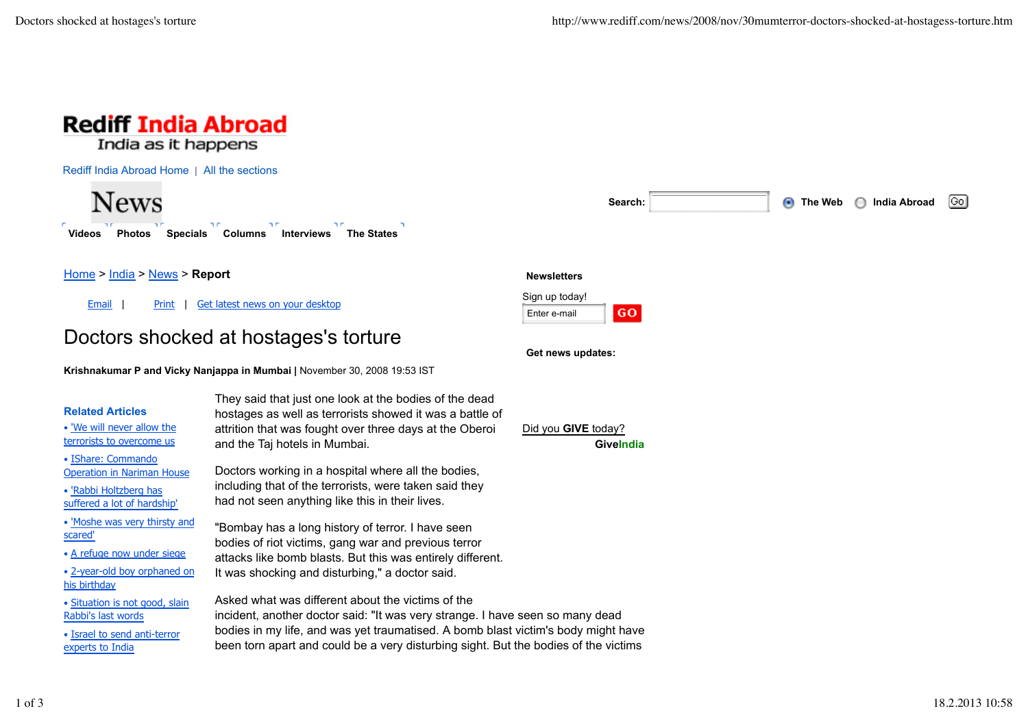

Rediff India Abroad Home | All the sections

**News** D.C n n **Videos Photos Specials Columns Interviews The States**



Home > India > News > **Report**

Email | Print | Get latest news on your desktop

# Doctors shocked at hostages's torture

**Krishnakumar P and Vicky Nanjappa in Mumbai |** November 30, 2008 19:53 IST

## **Related Articles**

• 'We will never allow the terrorists to overcome us

- IShare: Commando Operation in Nariman House
- 'Rabbi Holtzberg has suffered a lot of hardship'
- 'Moshe was very thirsty and scared'
- A refuge now under siege
- 2-year-old boy orphaned on his birthday
- Situation is not good, slain Rabbi's last words

• Israel to send anti-terror experts to India

They said that just one look at the bodies of the dead hostages as well as terrorists showed it was a battle of attrition that was fought over three days at the Oberoi and the Taj hotels in Mumbai.

Doctors working in a hospital where all the bodies, including that of the terrorists, were taken said they had not seen anything like this in their lives.

"Bombay has a long history of terror. I have seen bodies of riot victims, gang war and previous terror attacks like bomb blasts. But this was entirely different. It was shocking and disturbing," a doctor said.

Asked what was different about the victims of the incident, another doctor said: "It was very strange. I have seen so many dead bodies in my life, and was yet traumatised. A bomb blast victim's body might have been torn apart and could be a very disturbing sight. But the bodies of the victims

#### **Newsletters**



**Get news updates:**

Did you **GIVE** today? **GiveIndia**